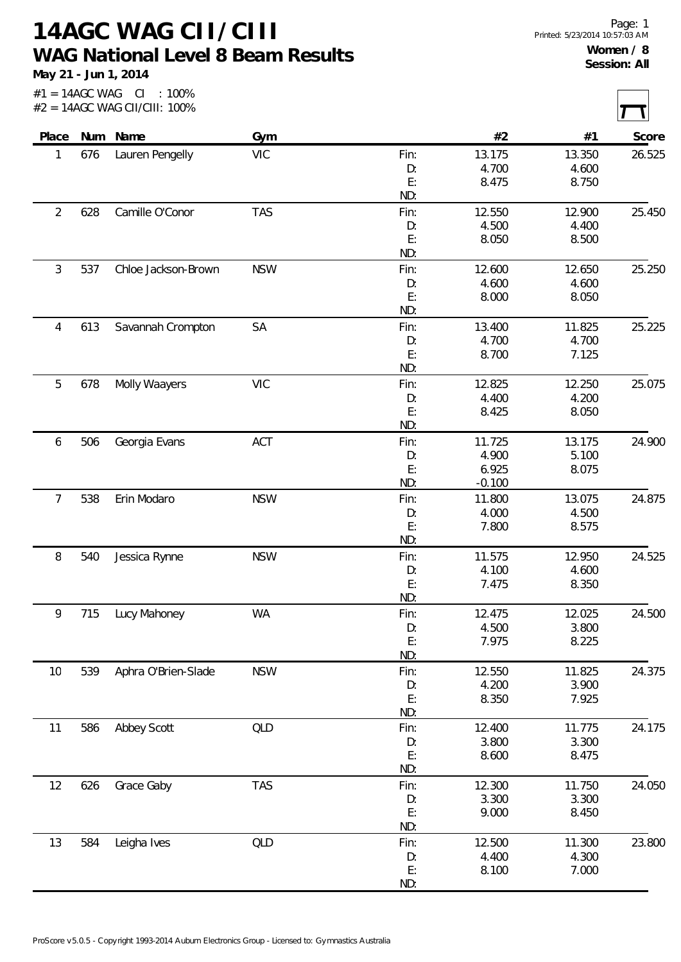## **14AGC WAG CII/CIII WAG National Level 8 Beam Results**

**May 21 - Jun 1, 2014**

| Place          |     | Num Name            | Gym        |      | #2       | #1     | Score  |
|----------------|-----|---------------------|------------|------|----------|--------|--------|
| 1              | 676 | Lauren Pengelly     | <b>VIC</b> | Fin: | 13.175   | 13.350 | 26.525 |
|                |     |                     |            | D:   | 4.700    | 4.600  |        |
|                |     |                     |            | E:   | 8.475    | 8.750  |        |
|                |     |                     |            | ND:  |          |        |        |
| $\overline{2}$ | 628 | Camille O'Conor     | <b>TAS</b> | Fin: | 12.550   | 12.900 | 25.450 |
|                |     |                     |            | D:   | 4.500    | 4.400  |        |
|                |     |                     |            | E:   | 8.050    | 8.500  |        |
|                |     |                     |            | ND:  |          |        |        |
| $\mathfrak{Z}$ | 537 | Chloe Jackson-Brown | <b>NSW</b> | Fin: | 12.600   | 12.650 | 25.250 |
|                |     |                     |            | D:   | 4.600    | 4.600  |        |
|                |     |                     |            | E:   | 8.000    | 8.050  |        |
|                |     |                     |            | ND:  |          |        |        |
| $\overline{4}$ | 613 | Savannah Crompton   | SA         | Fin: | 13.400   | 11.825 | 25.225 |
|                |     |                     |            | D:   | 4.700    | 4.700  |        |
|                |     |                     |            | E:   | 8.700    | 7.125  |        |
|                |     |                     |            | ND:  |          |        |        |
| 5              | 678 | Molly Waayers       | <b>VIC</b> | Fin: | 12.825   | 12.250 | 25.075 |
|                |     |                     |            | D:   | 4.400    | 4.200  |        |
|                |     |                     |            | E:   | 8.425    | 8.050  |        |
|                |     |                     |            | ND:  |          |        |        |
| 6              | 506 | Georgia Evans       | ACT        | Fin: | 11.725   | 13.175 | 24.900 |
|                |     |                     |            | D:   | 4.900    | 5.100  |        |
|                |     |                     |            | E:   | 6.925    | 8.075  |        |
|                |     |                     |            | ND:  | $-0.100$ |        |        |
| $\overline{7}$ | 538 | Erin Modaro         | <b>NSW</b> | Fin: | 11.800   | 13.075 | 24.875 |
|                |     |                     |            | D:   | 4.000    | 4.500  |        |
|                |     |                     |            | E:   | 7.800    | 8.575  |        |
|                |     |                     |            | ND:  |          |        |        |
| 8              | 540 | Jessica Rynne       | <b>NSW</b> | Fin: | 11.575   | 12.950 | 24.525 |
|                |     |                     |            | D:   | 4.100    | 4.600  |        |
|                |     |                     |            | E:   | 7.475    | 8.350  |        |
|                |     |                     |            | ND:  |          |        |        |
| 9              | 715 | Lucy Mahoney        | <b>WA</b>  | Fin: | 12.475   | 12.025 | 24.500 |
|                |     |                     |            | D:   | 4.500    | 3.800  |        |
|                |     |                     |            | E:   | 7.975    | 8.225  |        |
|                |     |                     |            | ND:  |          |        |        |
|                | 539 | Aphra O'Brien-Slade | <b>NSW</b> | Fin: | 12.550   | 11.825 | 24.375 |
| 10             |     |                     |            | D:   | 4.200    | 3.900  |        |
|                |     |                     |            | E:   | 8.350    | 7.925  |        |
|                |     |                     |            | ND:  |          |        |        |
| 11             | 586 | Abbey Scott         | QLD        | Fin: | 12.400   | 11.775 | 24.175 |
|                |     |                     |            | D:   | 3.800    | 3.300  |        |
|                |     |                     |            | E:   | 8.600    | 8.475  |        |
|                |     |                     |            | ND:  |          |        |        |
| 12             | 626 | Grace Gaby          | <b>TAS</b> | Fin: | 12.300   | 11.750 | 24.050 |
|                |     |                     |            | D:   | 3.300    | 3.300  |        |
|                |     |                     |            | E:   | 9.000    | 8.450  |        |
|                |     |                     |            | ND:  |          |        |        |
|                |     |                     |            |      |          |        |        |
| 13             | 584 | Leigha Ives         | QLD        | Fin: | 12.500   | 11.300 | 23.800 |
|                |     |                     |            | D:   | 4.400    | 4.300  |        |
|                |     |                     |            | E:   | 8.100    | 7.000  |        |
|                |     |                     |            | ND:  |          |        |        |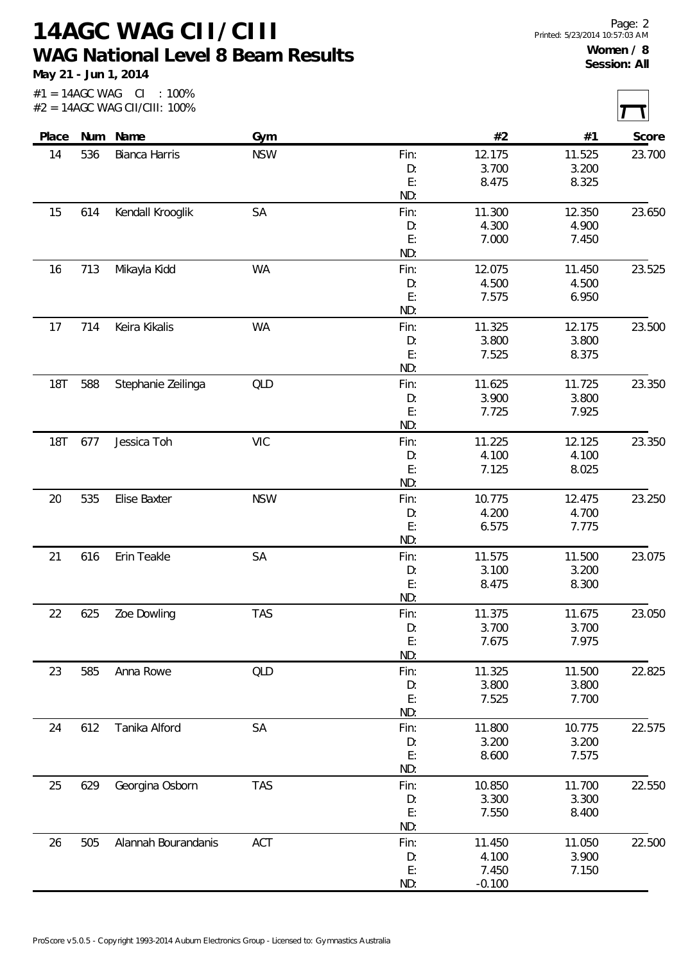## **14AGC WAG CII/CIII WAG National Level 8 Beam Results**

**May 21 - Jun 1, 2014**

| Place |     | Num Name             | Gym        |            | #2              | #1              | Score  |
|-------|-----|----------------------|------------|------------|-----------------|-----------------|--------|
| 14    | 536 | <b>Bianca Harris</b> | <b>NSW</b> | Fin:       | 12.175          | 11.525          | 23.700 |
|       |     |                      |            | D:         | 3.700           | 3.200           |        |
|       |     |                      |            | E:         | 8.475           | 8.325           |        |
|       |     |                      |            | ND:        |                 |                 |        |
| 15    | 614 | Kendall Krooglik     | SA         | Fin:       | 11.300          | 12.350          | 23.650 |
|       |     |                      |            | D:         | 4.300           | 4.900           |        |
|       |     |                      |            | E:         | 7.000           | 7.450           |        |
|       |     |                      |            | ND:        |                 |                 |        |
| 16    | 713 | Mikayla Kidd         | WA         | Fin:       | 12.075          | 11.450          | 23.525 |
|       |     |                      |            | D:         | 4.500           | 4.500           |        |
|       |     |                      |            | E:         | 7.575           | 6.950           |        |
|       |     |                      |            | ND:        |                 |                 |        |
| 17    | 714 | Keira Kikalis        | <b>WA</b>  | Fin:       | 11.325          | 12.175          | 23.500 |
|       |     |                      |            | D:         | 3.800           | 3.800           |        |
|       |     |                      |            | E:<br>ND:  | 7.525           | 8.375           |        |
|       |     |                      |            |            |                 |                 |        |
| 18T   | 588 | Stephanie Zeilinga   | QLD        | Fin:<br>D: | 11.625<br>3.900 | 11.725<br>3.800 | 23.350 |
|       |     |                      |            | E:         | 7.725           | 7.925           |        |
|       |     |                      |            | ND:        |                 |                 |        |
| 18T   | 677 | Jessica Toh          | <b>VIC</b> | Fin:       | 11.225          | 12.125          | 23.350 |
|       |     |                      |            | D:         | 4.100           | 4.100           |        |
|       |     |                      |            | E:         | 7.125           | 8.025           |        |
|       |     |                      |            | ND:        |                 |                 |        |
| 20    | 535 | Elise Baxter         | <b>NSW</b> | Fin:       | 10.775          | 12.475          | 23.250 |
|       |     |                      |            | D:         | 4.200           | 4.700           |        |
|       |     |                      |            | E:         | 6.575           | 7.775           |        |
|       |     |                      |            | ND:        |                 |                 |        |
| 21    | 616 | Erin Teakle          | <b>SA</b>  | Fin:       | 11.575          | 11.500          | 23.075 |
|       |     |                      |            | D:         | 3.100           | 3.200           |        |
|       |     |                      |            | E:         | 8.475           | 8.300           |        |
|       |     |                      |            | ND:        |                 |                 |        |
| 22    | 625 | Zoe Dowling          | <b>TAS</b> | Fin:       | 11.375          | 11.675          | 23.050 |
|       |     |                      |            | D:         | 3.700           | 3.700           |        |
|       |     |                      |            | E:         | 7.675           | 7.975           |        |
|       |     |                      |            | ND:        |                 |                 |        |
| 23    | 585 | Anna Rowe            | <b>QLD</b> | Fin:       | 11.325          | 11.500          | 22.825 |
|       |     |                      |            | D:<br>E:   | 3.800<br>7.525  | 3.800           |        |
|       |     |                      |            | ND:        |                 | 7.700           |        |
| 24    | 612 | Tanika Alford        | SA         | Fin:       | 11.800          | 10.775          | 22.575 |
|       |     |                      |            | D:         | 3.200           | 3.200           |        |
|       |     |                      |            | E:         | 8.600           | 7.575           |        |
|       |     |                      |            | ND:        |                 |                 |        |
| 25    | 629 | Georgina Osborn      | <b>TAS</b> | Fin:       | 10.850          | 11.700          | 22.550 |
|       |     |                      |            | D:         | 3.300           | 3.300           |        |
|       |     |                      |            | E:         | 7.550           | 8.400           |        |
|       |     |                      |            | ND:        |                 |                 |        |
| 26    | 505 | Alannah Bourandanis  | ACT        | Fin:       | 11.450          | 11.050          | 22.500 |
|       |     |                      |            | D:         | 4.100           | 3.900           |        |
|       |     |                      |            | E:         | 7.450           | 7.150           |        |
|       |     |                      |            | ND:        | $-0.100$        |                 |        |